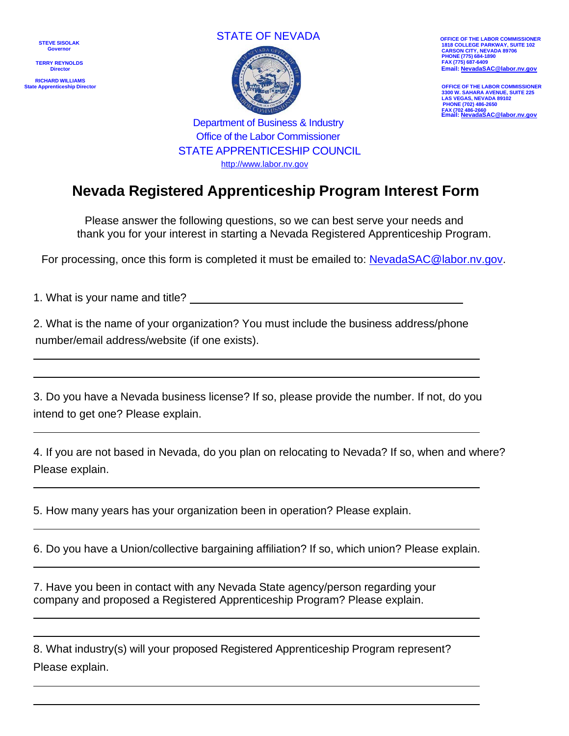**STEVE SISOLAK Governo** 

 **TERRY REYNOLDS Director**

**RICHARD WILLIAMS State Apprenticeship Director** 





**1818 COLLEGE PARKWAY, SUITE 102 CARSON CITY, NEVADA 89706 PHONE (775) 684-1890 FAX (775) 687-6409 Email[: NevadaSAC@labor.nv.gov](mailto:NevadaSAC@labor.nv.gov)**

**OFFICE OF THE LABOR COMMISSIONER 3300 W. SAHARA AVENUE, SUITE 225 LAS VEGAS, NEVADA 89102 PHONE (702) 486-2650 FAX (702 486-2660 Email[: NevadaSAC@labor.nv.gov](mailto:NevadaSAC@labor.nv.gov)**

Department of Business & Industry Office of the Labor Commissioner STATE APPRENTICESHIP COUNCIL [http://www.labor.nv.gov](http://www.labor.nv.gov/)

## **Nevada Registered Apprenticeship Program Interest Form**

Please answer the following questions, so we can best serve your needs and thank you for your interest in starting a Nevada Registered Apprenticeship Program.

For processing, once this form is completed it must be emailed to: [NevadaSAC@labor.nv.gov.](mailto:NevadaSAC@labor.nv.gov)

1. What is your name and title?

2. What is the name of your organization? You must include the business address/phone number/email address/website (if one exists).

3. Do you have a Nevada business license? If so, please provide the number. If not, do you intend to get one? Please explain.

4. If you are not based in Nevada, do you plan on relocating to Nevada? If so, when and where? Please explain.

5. How many years has your organization been in operation? Please explain.

6. Do you have a Union/collective bargaining affiliation? If so, which union? Please explain.

7. Have you been in contact with any Nevada State agency/person regarding your company and proposed a Registered Apprenticeship Program? Please explain.

8. What industry(s) will your proposed Registered Apprenticeship Program represent? Please explain.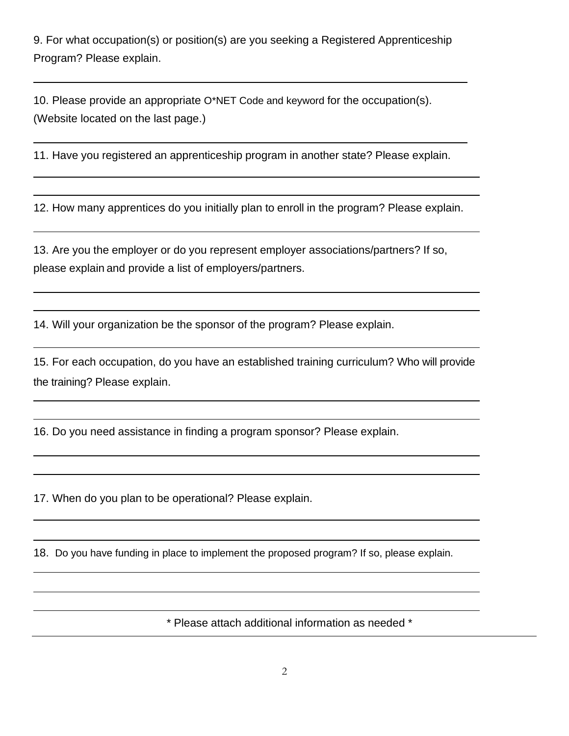9. For what occupation(s) or position(s) are you seeking a Registered Apprenticeship Program? Please explain.

10. Please provide an appropriate O\*NET Code and keyword for the occupation(s). (Website located on the last page.)

11. Have you registered an apprenticeship program in another state? Please explain.

12. How many apprentices do you initially plan to enroll in the program? Please explain.

13. Are you the employer or do you represent employer associations/partners? If so, please explain and provide a list of employers/partners.

14. Will your organization be the sponsor of the program? Please explain.

15. For each occupation, do you have an established training curriculum? Who will provide the training? Please explain.

16. Do you need assistance in finding a program sponsor? Please explain.

17. When do you plan to be operational? Please explain.

18. Do you have funding in place to implement the proposed program? If so, please explain.

\* Please attach additional information as needed \*